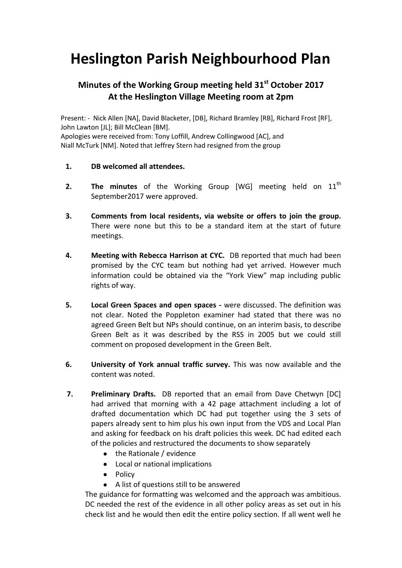## **Heslington Parish Neighbourhood Plan**

## **Minutes of the Working Group meeting held 31st October 2017 At the Heslington Village Meeting room at 2pm**

Present: - Nick Allen [NA], David Blacketer, [DB], Richard Bramley [RB], Richard Frost [RF], John Lawton [JL]; Bill McClean [BM]. Apologies were received from: Tony Loffill, Andrew Collingwood [AC], and Niall McTurk [NM]. Noted that Jeffrey Stern had resigned from the group

- **1. DB welcomed all attendees.**
- **2. The minutes** of the Working Group [WG] meeting held on 11<sup>th</sup> September2017 were approved.
- **3. Comments from local residents, via website or offers to join the group.**  There were none but this to be a standard item at the start of future meetings.
- **4. Meeting with Rebecca Harrison at CYC.** DB reported that much had been promised by the CYC team but nothing had yet arrived. However much information could be obtained via the "York View" map including public rights of way.
- **5. Local Green Spaces and open spaces -** were discussed. The definition was not clear. Noted the Poppleton examiner had stated that there was no agreed Green Belt but NPs should continue, on an interim basis, to describe Green Belt as it was described by the RSS in 2005 but we could still comment on proposed development in the Green Belt.
- **6. University of York annual traffic survey.** This was now available and the content was noted.
- **7. Preliminary Drafts.** DB reported that an email from Dave Chetwyn [DC] had arrived that morning with a 42 page attachment including a lot of drafted documentation which DC had put together using the 3 sets of papers already sent to him plus his own input from the VDS and Local Plan and asking for feedback on his draft policies this week. DC had edited each of the policies and restructured the documents to show separately
	- the Rationale / evidence
	- Local or national implications
	- Policy
	- A list of questions still to be answered

The guidance for formatting was welcomed and the approach was ambitious. DC needed the rest of the evidence in all other policy areas as set out in his check list and he would then edit the entire policy section. If all went well he